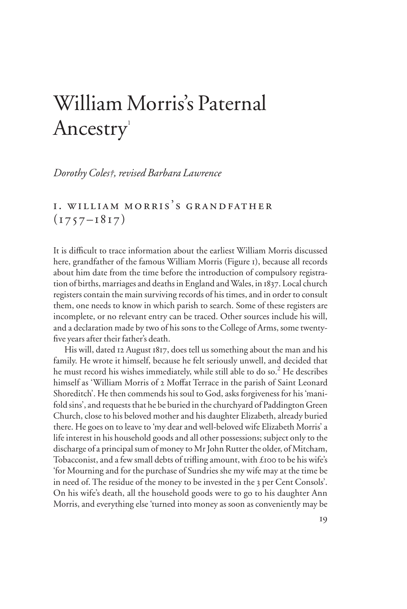# William Morris's Paternal Ancestry<sup>1</sup>

*Dorothy Coles†, revised Barbara Lawrence* 

## I. WILLIAM MORRIS'S GRANDFATHER  $(1757 - 1817)$

It is difficult to trace information about the earliest William Morris discussed here, grandfather of the famous William Morris (Figure 1), because all records about him date from the time before the introduction of compulsory registration of births, marriages and deaths in England and Wales, in 1837. Local church registers contain the main surviving records of his times, and in order to consult them, one needs to know in which parish to search. Some of these registers are incomplete, or no relevant entry can be traced. Other sources include his will, and a declaration made by two of his sons to the College of Arms, some twentyfive years after their father's death.

His will, dated 12 August 1817, does tell us something about the man and his family. He wrote it himself, because he felt seriously unwell, and decided that he must record his wishes immediately, while still able to do so.<sup>2</sup> He describes himself as 'William Morris of 2 Moffat Terrace in the parish of Saint Leonard Shoreditch'. He then commends his soul to God, asks forgiveness for his 'manifold sins', and requests that he be buried in the churchyard of Paddington Green Church, close to his beloved mother and his daughter Elizabeth, already buried there. He goes on to leave to 'my dear and well-beloved wife Elizabeth Morris' a life interest in his household goods and all other possessions; subject only to the discharge of a principal sum of money to Mr John Rutter the older, of Mitcham, Tobacconist, and a few small debts of trifling amount, with £100 to be his wife's 'for Mourning and for the purchase of Sundries she my wife may at the time be in need of. The residue of the money to be invested in the 3 per Cent Consols'. On his wife's death, all the household goods were to go to his daughter Ann Morris, and everything else 'turned into money as soon as conveniently may be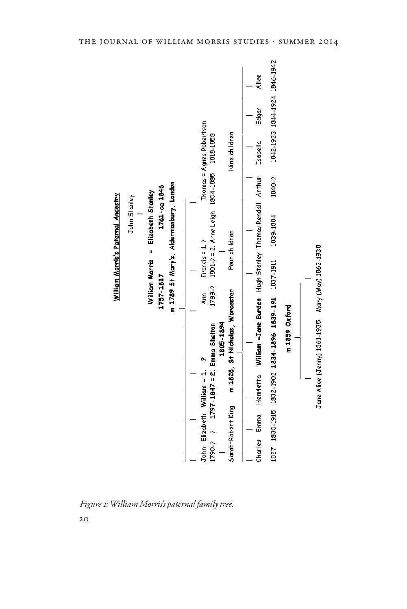

*Figure 1: William Morris's paternal family tree.*

20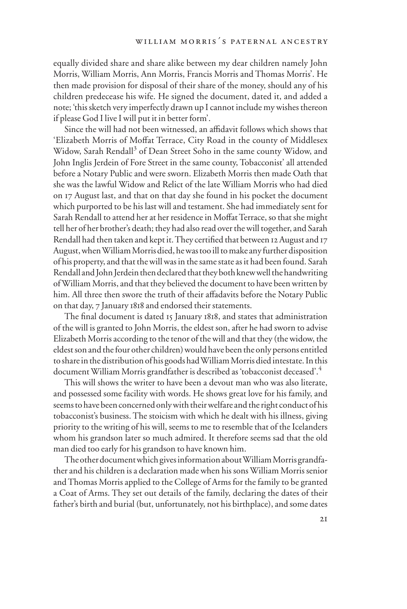equally divided share and share alike between my dear children namely John Morris, William Morris, Ann Morris, Francis Morris and Thomas Morris'. He then made provision for disposal of their share of the money, should any of his children predecease his wife. He signed the document, dated it, and added a note; 'this sketch very imperfectly drawn up I cannot include my wishes thereon if please God I live I will put it in better form'.

Since the will had not been witnessed, an affidavit follows which shows that 'Elizabeth Morris of Moffat Terrace, City Road in the county of Middlesex Widow, Sarah Rendall<sup>3</sup> of Dean Street Soho in the same county Widow, and John Inglis Jerdein of Fore Street in the same county, Tobacconist' all attended before a Notary Public and were sworn. Elizabeth Morris then made Oath that she was the lawful Widow and Relict of the late William Morris who had died on 17 August last, and that on that day she found in his pocket the document which purported to be his last will and testament. She had immediately sent for Sarah Rendall to attend her at her residence in Moffat Terrace, so that she might tell her of her brother's death; they had also read over the will together, and Sarah Rendall had then taken and kept it. They certified that between 12 August and 17 August, when William Morris died, he was too ill to make any further disposition of his property, and that the will was in the same state as it had been found. Sarah Rendall and John Jerdein then declared that they both knew well the handwriting of William Morris, and that they believed the document to have been written by him. All three then swore the truth of their affadavits before the Notary Public on that day, 7 January 1818 and endorsed their statements.

The final document is dated 15 January 1818, and states that administration of the will is granted to John Morris, the eldest son, after he had sworn to advise Elizabeth Morris according to the tenor of the will and that they (the widow, the eldest son and the four other children) would have been the only persons entitled to share in the distribution of his goods had William Morris died intestate. In this document William Morris grandfather is described as 'tobacconist deceased'.<sup>4</sup>

This will shows the writer to have been a devout man who was also literate, and possessed some facility with words. He shows great love for his family, and seems to have been concerned only with their welfare and the right conduct of his tobacconist's business. The stoicism with which he dealt with his illness, giving priority to the writing of his will, seems to me to resemble that of the Icelanders whom his grandson later so much admired. It therefore seems sad that the old man died too early for his grandson to have known him.

The other document which gives information about William Morris grandfather and his children is a declaration made when his sons William Morris senior and Thomas Morris applied to the College of Arms for the family to be granted a Coat of Arms. They set out details of the family, declaring the dates of their father's birth and burial (but, unfortunately, not his birthplace), and some dates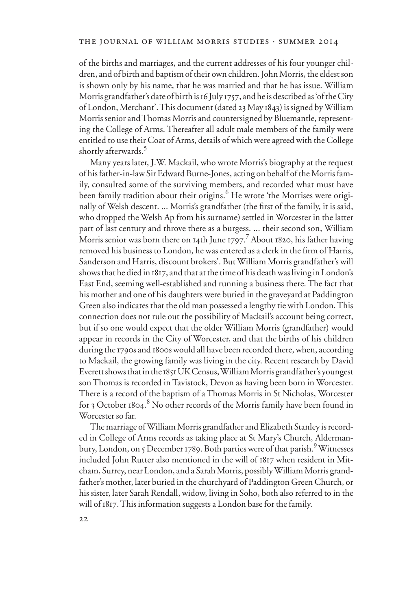of the births and marriages, and the current addresses of his four younger children, and of birth and baptism of their own children. John Morris, the eldest son is shown only by his name, that he was married and that he has issue. William Morris grandfather's date of birth is 16 July 1757, and he is described as 'of the City of London, Merchant'. This document (dated 23 May 1843) is signed by William Morris senior and Thomas Morris and countersigned by Bluemantle, representing the College of Arms. Thereafter all adult male members of the family were entitled to use their Coat of Arms, details of which were agreed with the College shortly afterwards.5

Many years later, J.W. Mackail, who wrote Morris's biography at the request of his father-in-law Sir Edward Burne-Jones, acting on behalf of the Morris family, consulted some of the surviving members, and recorded what must have been family tradition about their origins.<sup>6</sup> He wrote 'the Morrises were originally of Welsh descent. ... Morris's grandfather (the first of the family, it is said, who dropped the Welsh Ap from his surname) settled in Worcester in the latter part of last century and throve there as a burgess. ... their second son, William Morris senior was born there on 14th June 1797. $^7$  About 1820, his father having removed his business to London, he was entered as a clerk in the firm of Harris, Sanderson and Harris, discount brokers'. But William Morris grandfather's will shows that he died in 1817, and that at the time of his death was living in London's East End, seeming well-established and running a business there. The fact that his mother and one of his daughters were buried in the graveyard at Paddington Green also indicates that the old man possessed a lengthy tie with London. This connection does not rule out the possibility of Mackail's account being correct, but if so one would expect that the older William Morris (grandfather) would appear in records in the City of Worcester, and that the births of his children during the 1790s and 1800s would all have been recorded there, when, according to Mackail, the growing family was living in the city. Recent research by David Everett shows that in the 1851 UK Census, William Morris grandfather's youngest son Thomas is recorded in Tavistock, Devon as having been born in Worcester. There is a record of the baptism of a Thomas Morris in St Nicholas, Worcester for 3 October 1804.<sup>8</sup> No other records of the Morris family have been found in Worcester so far.

The marriage of William Morris grandfather and Elizabeth Stanley is recorded in College of Arms records as taking place at St Mary's Church, Aldermanbury, London, on 5 December 1789. Both parties were of that parish.<sup>9</sup> Witnesses included John Rutter also mentioned in the will of 1817 when resident in Mitcham, Surrey, near London, and a Sarah Morris, possibly William Morris grandfather's mother, later buried in the churchyard of Paddington Green Church, or his sister, later Sarah Rendall, widow, living in Soho, both also referred to in the will of 1817. This information suggests a London base for the family.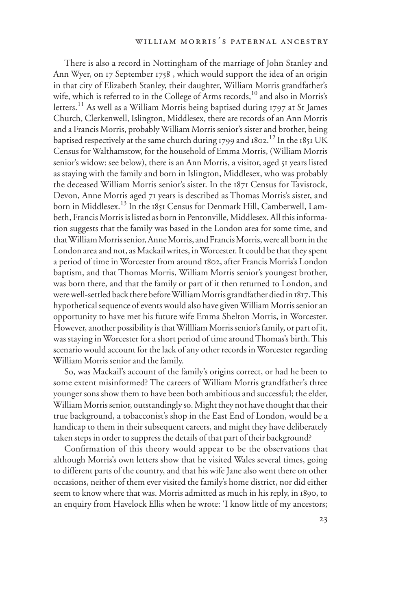There is also a record in Nottingham of the marriage of John Stanley and Ann Wyer, on 17 September 1758 , which would support the idea of an origin in that city of Elizabeth Stanley, their daughter, William Morris grandfather's wife, which is referred to in the College of Arms records, $^{10}$  and also in Morris's letters.<sup>11</sup> As well as a William Morris being baptised during 1797 at St James Church, Clerkenwell, Islington, Middlesex, there are records of an Ann Morris and a Francis Morris, probably William Morris senior's sister and brother, being baptised respectively at the same church during 1799 and 1802. $^{12}$  In the 1851 UK Census for Walthamstow, for the household of Emma Morris, (William Morris senior's widow: see below), there is an Ann Morris, a visitor, aged 51 years listed as staying with the family and born in Islington, Middlesex, who was probably the deceased William Morris senior's sister. In the 1871 Census for Tavistock, Devon, Anne Morris aged 71 years is described as Thomas Morris's sister, and born in Middlesex.<sup>13</sup> In the 1851 Census for Denmark Hill, Camberwell, Lambeth, Francis Morris is listed as born in Pentonville, Middlesex. All this information suggests that the family was based in the London area for some time, and that William Morris senior, Anne Morris, and Francis Morris, were all born in the London area and not, as Mackail writes, in Worcester. It could be that they spent a period of time in Worcester from around 1802, after Francis Morris's London baptism, and that Thomas Morris, William Morris senior's youngest brother, was born there, and that the family or part of it then returned to London, and were well-settled back there before William Morris grandfather died in 1817. This hypothetical sequence of events would also have given William Morris senior an opportunity to have met his future wife Emma Shelton Morris, in Worcester. However, another possibility is that Willliam Morris senior's family, or part of it, was staying in Worcester for a short period of time around Thomas's birth. This scenario would account for the lack of any other records in Worcester regarding William Morris senior and the family.

So, was Mackail's account of the family's origins correct, or had he been to some extent misinformed? The careers of William Morris grandfather's three younger sons show them to have been both ambitious and successful; the elder, William Morris senior, outstandingly so. Might they not have thought that their true background, a tobacconist's shop in the East End of London, would be a handicap to them in their subsequent careers, and might they have deliberately taken steps in order to suppress the details of that part of their background?

Confirmation of this theory would appear to be the observations that although Morris's own letters show that he visited Wales several times, going to different parts of the country, and that his wife Jane also went there on other occasions, neither of them ever visited the family's home district, nor did either seem to know where that was. Morris admitted as much in his reply, in 1890, to an enquiry from Havelock Ellis when he wrote: 'I know little of my ancestors;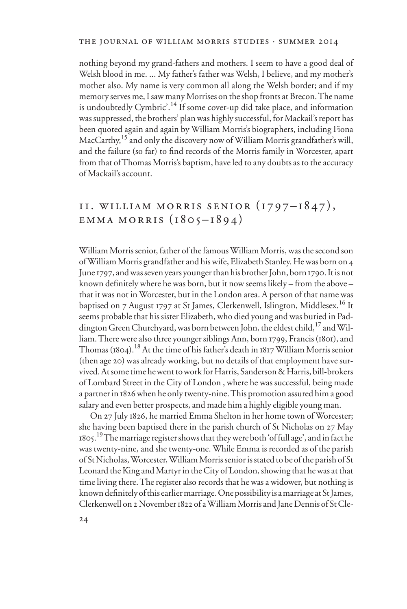nothing beyond my grand-fathers and mothers. I seem to have a good deal of Welsh blood in me. ... My father's father was Welsh, I believe, and my mother's mother also. My name is very common all along the Welsh border; and if my memory serves me, I saw many Morrises on the shop fronts at Brecon. The name is undoubtedly Cymbric'.<sup>14</sup> If some cover-up did take place, and information was suppressed, the brothers' plan was highly successful, for Mackail's report has been quoted again and again by William Morris's biographers, including Fiona MacCarthy,<sup>15</sup> and only the discovery now of William Morris grandfather's will, and the failure (so far) to find records of the Morris family in Worcester, apart from that of Thomas Morris's baptism, have led to any doubts as to the accuracy of Mackail's account.

## 11. william morris senior (1797–1847 ), EMMA MORRIS  $(1805 - 1894)$

William Morris senior, father of the famous William Morris, was the second son of William Morris grandfather and his wife, Elizabeth Stanley. He was born on 4 June 1797, and was seven years younger than his brother John, born 1790. It is not known definitely where he was born, but it now seems likely – from the above – that it was not in Worcester, but in the London area. A person of that name was baptised on 7 August 1797 at St James, Clerkenwell, Islington, Middlesex.<sup>16</sup> It seems probable that his sister Elizabeth, who died young and was buried in Paddington Green Churchyard, was born between John, the eldest child,  $^{17}$  and William. There were also three younger siblings Ann, born 1799, Francis (1801), and Thomas (1804).<sup>18</sup> At the time of his father's death in 1817 William Morris senior (then age 20) was already working, but no details of that employment have survived. At some time he went to work for Harris, Sanderson & Harris, bill-brokers of Lombard Street in the City of London , where he was successful, being made a partner in 1826 when he only twenty-nine. This promotion assured him a good salary and even better prospects, and made him a highly eligible young man.

On 27 July 1826, he married Emma Shelton in her home town of Worcester; she having been baptised there in the parish church of St Nicholas on 27 May 1805.<sup>19</sup> The marriage register shows that they were both 'of full age', and in fact he was twenty-nine, and she twenty-one. While Emma is recorded as of the parish of St Nicholas, Worcester, William Morris senior is stated to be of the parish of St Leonard the King and Martyr in the City of London, showing that he was at that time living there. The register also records that he was a widower, but nothing is known definitely of this earlier marriage. One possibility is a marriage at St James, Clerkenwell on 2November 1822 of a William Morris and Jane Dennis of St Cle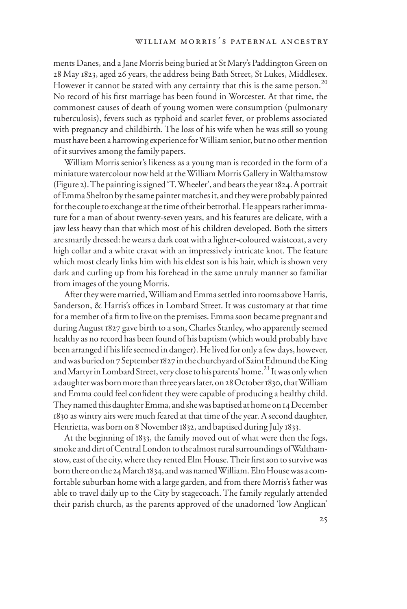ments Danes, and a Jane Morris being buried at St Mary's Paddington Green on 28 May 1823, aged 26 years, the address being Bath Street, St Lukes, Middlesex. However it cannot be stated with any certainty that this is the same person.<sup>20</sup> No record of his first marriage has been found in Worcester. At that time, the commonest causes of death of young women were consumption (pulmonary tuberculosis), fevers such as typhoid and scarlet fever, or problems associated with pregnancy and childbirth. The loss of his wife when he was still so young must have been a harrowing experience for William senior, but no other mention of it survives among the family papers.

William Morris senior's likeness as a young man is recorded in the form of a miniature watercolour now held at the William Morris Gallery in Walthamstow (Figure 2). The painting is signed 'T. Wheeler', and bears the year 1824. A portrait of Emma Shelton by the same painter matches it, and they were probably painted for the couple to exchange at the time of their betrothal. He appears rather immature for a man of about twenty-seven years, and his features are delicate, with a jaw less heavy than that which most of his children developed. Both the sitters are smartly dressed: he wears a dark coat with a lighter-coloured waistcoat, a very high collar and a white cravat with an impressively intricate knot. The feature which most clearly links him with his eldest son is his hair, which is shown very dark and curling up from his forehead in the same unruly manner so familiar from images of the young Morris.

After they were married, William and Emma settled into rooms above Harris, Sanderson, & Harris's offices in Lombard Street. It was customary at that time for a member of a firm to live on the premises. Emma soon became pregnant and during August 1827 gave birth to a son, Charles Stanley, who apparently seemed healthy as no record has been found of his baptism (which would probably have been arranged if his life seemed in danger). He lived for only a few days, however, and was buried on 7 September 1827 in the churchyard of Saint Edmund the King and Martyr in Lombard Street, very close to his parents' home.<sup>21</sup> It was only when a daughter was born more than three years later, on 28 October 1830, that William and Emma could feel confident they were capable of producing a healthy child. They named this daughter Emma, and she was baptised at home on 14 December 1830 as wintry airs were much feared at that time of the year. A second daughter, Henrietta, was born on 8 November 1832, and baptised during July 1833.

At the beginning of 1833, the family moved out of what were then the fogs, smoke and dirt of Central London to the almost rural surroundings of Walthamstow, east of the city, where they rented Elm House. Their first son to survive was born there on the 24March 1834, and was named William. Elm House was a comfortable suburban home with a large garden, and from there Morris's father was able to travel daily up to the City by stagecoach. The family regularly attended their parish church, as the parents approved of the unadorned 'low Anglican'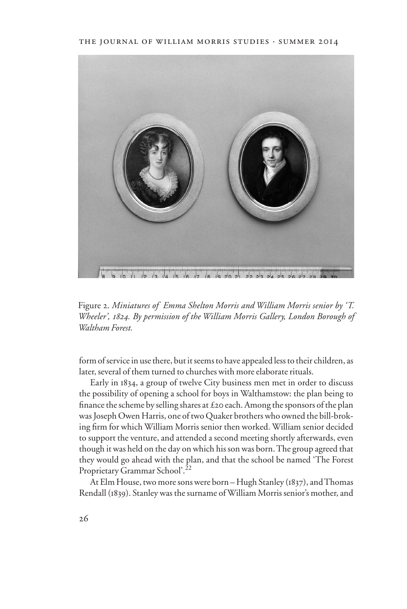#### the journal of william morris studies . summer 2014



Figure 2. *Miniatures of Emma Shelton Morris and William Morris senior by 'T. Wheeler', 1824. By permission of the William Morris Gallery, London Borough of Waltham Forest.* 

form of service in use there, but it seems to have appealed less to their children, as later, several of them turned to churches with more elaborate rituals.

Early in 1834, a group of twelve City business men met in order to discuss the possibility of opening a school for boys in Walthamstow: the plan being to finance the scheme by selling shares at  $£20$  each. Among the sponsors of the plan was Joseph Owen Harris, one of two Quaker brothers who owned the bill-broking firm for which William Morris senior then worked. William senior decided to support the venture, and attended a second meeting shortly afterwards, even though it was held on the day on which his son was born. The group agreed that they would go ahead with the plan, and that the school be named 'The Forest Proprietary Grammar School'.<sup>22</sup>

At Elm House, two more sons were born – Hugh Stanley (1837), and Thomas Rendall (1839). Stanley was the surname of William Morris senior's mother, and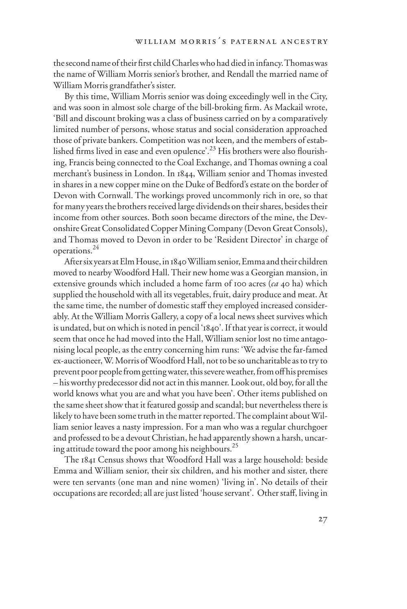the second name of their first child Charles who had died in infancy. Thomas was the name of William Morris senior's brother, and Rendall the married name of William Morris grandfather's sister.

By this time, William Morris senior was doing exceedingly well in the City, and was soon in almost sole charge of the bill-broking firm. As Mackail wrote, 'Bill and discount broking was a class of business carried on by a comparatively limited number of persons, whose status and social consideration approached those of private bankers. Competition was not keen, and the members of established firms lived in ease and even opulence'.<sup>23</sup> His brothers were also flourishing, Francis being connected to the Coal Exchange, and Thomas owning a coal merchant's business in London. In 1844, William senior and Thomas invested in shares in a new copper mine on the Duke of Bedford's estate on the border of Devon with Cornwall. The workings proved uncommonly rich in ore, so that for many years the brothers received large dividends on their shares, besides their income from other sources. Both soon became directors of the mine, the Devonshire Great Consolidated Copper Mining Company (Devon Great Consols), and Thomas moved to Devon in order to be 'Resident Director' in charge of operations.24

After six years at Elm House, in 1840 William senior, Emma and their children moved to nearby Woodford Hall. Their new home was a Georgian mansion, in extensive grounds which included a home farm of 100 acres (*ca* 40 ha) which supplied the household with all its vegetables, fruit, dairy produce and meat. At the same time, the number of domestic staff they employed increased considerably. At the William Morris Gallery, a copy of a local news sheet survives which is undated, but on which is noted in pencil '1840'. If that year is correct, it would seem that once he had moved into the Hall, William senior lost no time antagonising local people, as the entry concerning him runs: 'We advise the far-famed ex-auctioneer, W. Morris of Woodford Hall, not to be so uncharitable as to try to prevent poor people from getting water, this severe weather, from off his premises – his worthy predecessor did not act in this manner. Look out, old boy, for all the world knows what you are and what you have been'. Other items published on the same sheet show that it featured gossip and scandal; but nevertheless there is likely to have been some truth in the matter reported. The complaint about William senior leaves a nasty impression. For a man who was a regular churchgoer and professed to be a devout Christian, he had apparently shown a harsh, uncaring attitude toward the poor among his neighbours.<sup>25</sup>

The 1841 Census shows that Woodford Hall was a large household: beside Emma and William senior, their six children, and his mother and sister, there were ten servants (one man and nine women) 'living in'. No details of their occupations are recorded; all are just listed 'house servant'. Other staff, living in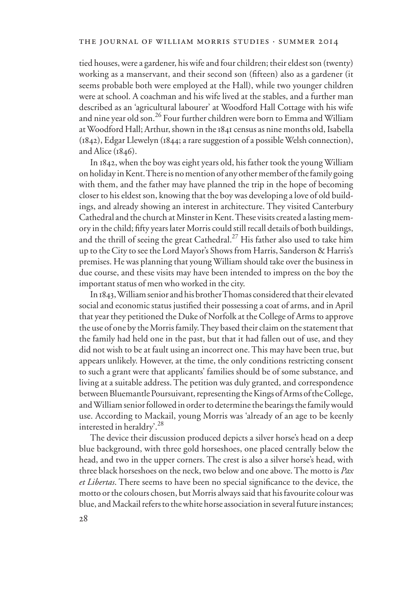tied houses, were a gardener, his wife and four children; their eldest son (twenty) working as a manservant, and their second son (fifteen) also as a gardener (it seems probable both were employed at the Hall), while two younger children were at school. A coachman and his wife lived at the stables, and a further man described as an 'agricultural labourer' at Woodford Hall Cottage with his wife and nine year old son.26 Four further children were born to Emma and William at Woodford Hall; Arthur, shown in the 1841 census as nine months old, Isabella (1842), Edgar Llewelyn (1844; a rare suggestion of a possible Welsh connection), and Alice (1846).

In 1842, when the boy was eight years old, his father took the young William on holiday in Kent. There is no mention of any other member of the family going with them, and the father may have planned the trip in the hope of becoming closer to his eldest son, knowing that the boy was developing a love of old buildings, and already showing an interest in architecture. They visited Canterbury Cathedral and the church at Minster in Kent. These visits created a lasting memory in the child; fifty years later Morris could still recall details of both buildings, and the thrill of seeing the great Cathedral.<sup>27</sup> His father also used to take him up to the City to see the Lord Mayor's Shows from Harris, Sanderson & Harris's premises. He was planning that young William should take over the business in due course, and these visits may have been intended to impress on the boy the important status of men who worked in the city.

In 1843, William senior and his brother Thomas considered that their elevated social and economic status justified their possessing a coat of arms, and in April that year they petitioned the Duke of Norfolk at the College of Arms to approve the use of one by the Morris family. They based their claim on the statement that the family had held one in the past, but that it had fallen out of use, and they did not wish to be at fault using an incorrect one. This may have been true, but appears unlikely. However, at the time, the only conditions restricting consent to such a grant were that applicants' families should be of some substance, and living at a suitable address. The petition was duly granted, and correspondence between Bluemantle Poursuivant, representing the Kings of Arms of the College, and William senior followed in order to determine the bearings the family would use. According to Mackail, young Morris was 'already of an age to be keenly interested in heraldry'.<sup>28</sup>

The device their discussion produced depicts a silver horse's head on a deep blue background, with three gold horseshoes, one placed centrally below the head, and two in the upper corners. The crest is also a silver horse's head, with three black horseshoes on the neck, two below and one above. The motto is *Pax et Libertas*. There seems to have been no special significance to the device, the motto or the colours chosen, but Morris always said that his favourite colour was blue, and Mackail refers to the white horse association in several future instances;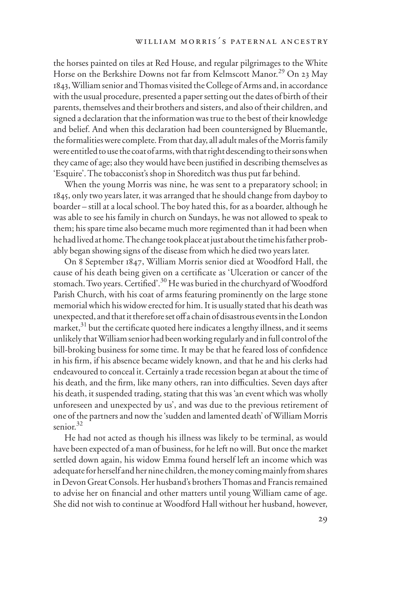the horses painted on tiles at Red House, and regular pilgrimages to the White Horse on the Berkshire Downs not far from Kelmscott Manor.<sup>29</sup> On 23 May 1843, William senior and Thomas visited the College of Arms and, in accordance with the usual procedure, presented a paper setting out the dates of birth of their parents, themselves and their brothers and sisters, and also of their children, and signed a declaration that the information was true to the best of their knowledge and belief. And when this declaration had been countersigned by Bluemantle, the formalities were complete. From that day, all adult males of the Morris family were entitled to use the coat of arms, with that right descending to their sons when they came of age; also they would have been justified in describing themselves as 'Esquire'. The tobacconist's shop in Shoreditch was thus put far behind.

When the young Morris was nine, he was sent to a preparatory school; in 1845, only two years later, it was arranged that he should change from dayboy to boarder – still at a local school. The boy hated this, for as a boarder, although he was able to see his family in church on Sundays, he was not allowed to speak to them; his spare time also became much more regimented than it had been when he had lived at home. The change took place at just about the time his father probably began showing signs of the disease from which he died two years later.

On 8 September 1847, William Morris senior died at Woodford Hall, the cause of his death being given on a certificate as 'Ulceration or cancer of the stomach. Two years. Certified'.<sup>30</sup> He was buried in the churchyard of Woodford Parish Church, with his coat of arms featuring prominently on the large stone memorial which his widow erected for him. It is usually stated that his death was unexpected, and that it therefore set off a chain of disastrous events in the London market, $31$  but the certificate quoted here indicates a lengthy illness, and it seems unlikely that William senior had been working regularly and in full control of the bill-broking business for some time. It may be that he feared loss of confidence in his firm, if his absence became widely known, and that he and his clerks had endeavoured to conceal it. Certainly a trade recession began at about the time of his death, and the firm, like many others, ran into difficulties. Seven days after his death, it suspended trading, stating that this was 'an event which was wholly unforeseen and unexpected by us', and was due to the previous retirement of one of the partners and now the 'sudden and lamented death' of William Morris senior $32$ 

He had not acted as though his illness was likely to be terminal, as would have been expected of a man of business, for he left no will. But once the market settled down again, his widow Emma found herself left an income which was adequate for herself and her nine children, the money coming mainly from shares in Devon Great Consols. Her husband's brothers Thomas and Francis remained to advise her on financial and other matters until young William came of age. She did not wish to continue at Woodford Hall without her husband, however,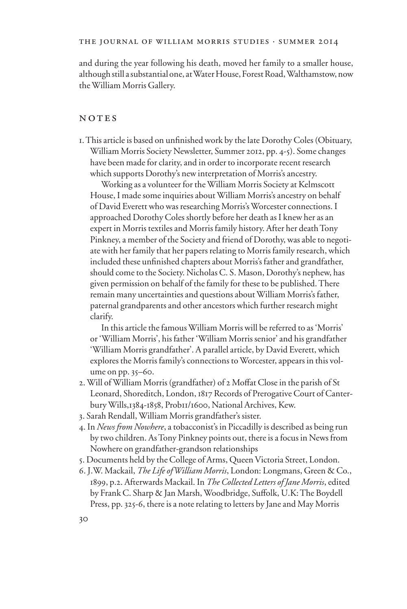and during the year following his death, moved her family to a smaller house, although still a substantial one, at Water House, Forest Road, Walthamstow, now the William Morris Gallery.

### NOTES

1. This article is based on unfinished work by the late Dorothy Coles (Obituary, William Morris Society Newsletter, Summer 2012, pp. 4-5). Some changes have been made for clarity, and in order to incorporate recent research which supports Dorothy's new interpretation of Morris's ancestry.

Working as a volunteer for the William Morris Society at Kelmscott House, I made some inquiries about William Morris's ancestry on behalf of David Everett who was researching Morris's Worcester connections. I approached Dorothy Coles shortly before her death as I knew her as an expert in Morris textiles and Morris family history. After her death Tony Pinkney, a member of the Society and friend of Dorothy, was able to negotiate with her family that her papers relating to Morris family research, which included these unfinished chapters about Morris's father and grandfather, should come to the Society. Nicholas C. S. Mason, Dorothy's nephew, has given permission on behalf of the family for these to be published. There remain many uncertainties and questions about William Morris's father, paternal grandparents and other ancestors which further research might clarify.

In this article the famous William Morris will be referred to as 'Morris' or 'William Morris', his father 'William Morris senior' and his grandfather 'William Morris grandfather'. A parallel article, by David Everett, which explores the Morris family's connections to Worcester, appears in this volume on pp. 35–60.

- 2. Will of William Morris (grandfather) of 2 Moffat Close in the parish of St Leonard, Shoreditch, London, 1817 Records of Prerogative Court of Canterbury Wills,1384-1858, Prob11/1600, National Archives, Kew.
- 3. Sarah Rendall, William Morris grandfather's sister.
- 4. In *News from Nowhere*, a tobacconist's in Piccadilly is described as being run by two children. As Tony Pinkney points out, there is a focus in News from Nowhere on grandfather-grandson relationships
- 5. Documents held by the College of Arms, Queen Victoria Street, London.
- 6. J.W. Mackail, *The Life of William Morris*, London: Longmans, Green & Co., 1899, p.2. Afterwards Mackail. In *The Collected Letters of Jane Morris*, edited by Frank C. Sharp & Jan Marsh, Woodbridge, Suffolk, U.K: The Boydell Press, pp. 325-6, there is a note relating to letters by Jane and May Morris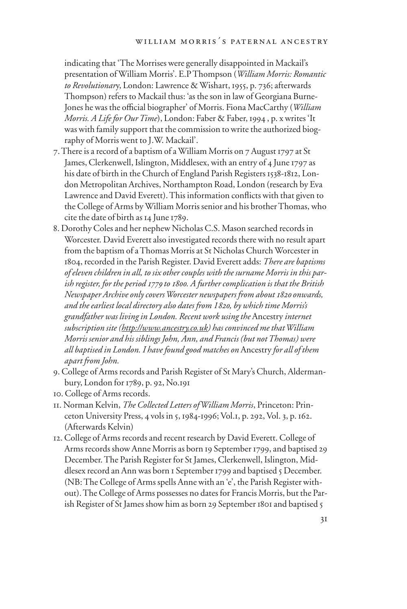indicating that 'The Morrises were generally disappointed in Mackail's presentation of William Morris'. E.P Thompson (*William Morris: Romantic to Revolutionar*y, London: Lawrence & Wishart, 1955, p. 736; afterwards Thompson) refers to Mackail thus: 'as the son in law of Georgiana Burne-Jones he was the official biographer' of Morris. Fiona MacCarthy (*William Morris. A Life for Our Time*), London: Faber & Faber, 1994 , p. x writes 'It was with family support that the commission to write the authorized biography of Morris went to J.W. Mackail'.

- 7. There is a record of a baptism of a William Morris on 7 August 1797 at St James, Clerkenwell, Islington, Middlesex, with an entry of 4 June 1797 as his date of birth in the Church of England Parish Registers 1538-1812, London Metropolitan Archives, Northampton Road, London (research by Eva Lawrence and David Everett). This information conflicts with that given to the College of Arms by William Morris senior and his brother Thomas, who cite the date of birth as 14 June 1789.
- 8. Dorothy Coles and her nephew Nicholas C.S. Mason searched records in Worcester. David Everett also investigated records there with no result apart from the baptism of a Thomas Morris at St Nicholas Church Worcester in 1804, recorded in the Parish Register. David Everett adds: *There are baptisms of eleven children in all, to six other couples with the surname Morris in this parish register, for the period 1779 to 1800. A further complication is that the British Newspaper Archive only covers Worcester newspapers from about 1820 onwards, and the earliest local directory also dates from 1820, by which time Morris's grandfather was living in London. Recent work using the* Ancestry *internet subscription site (http://www.ancestry.co.uk) has convinced me that William Morris senior and his siblings John, Ann, and Francis (but not Thomas) were all baptised in London. I have found good matches on* Ancestry *for all of them apart from John.*
- 9. College of Arms records and Parish Register of St Mary's Church, Aldermanbury, London for 1789, p. 92, No.191
- 10. College of Arms records.
- 11. Norman Kelvin, *The Collected Letters of William Morris*, Princeton: Princeton University Press, 4 vols in 5, 1984-1996; Vol.1, p. 292, Vol. 3, p. 162. (Afterwards Kelvin)
- 12. College of Arms records and recent research by David Everett. College of Arms records show Anne Morris as born 19 September 1799, and baptised 29 December. The Parish Register for St James, Clerkenwell, Islington, Middlesex record an Ann was born 1 September 1799 and baptised 5 December. (NB: The College of Arms spells Anne with an 'e', the Parish Register without). The College of Arms possesses no dates for Francis Morris, but the Parish Register of St James show him as born 29 September 1801 and baptised 5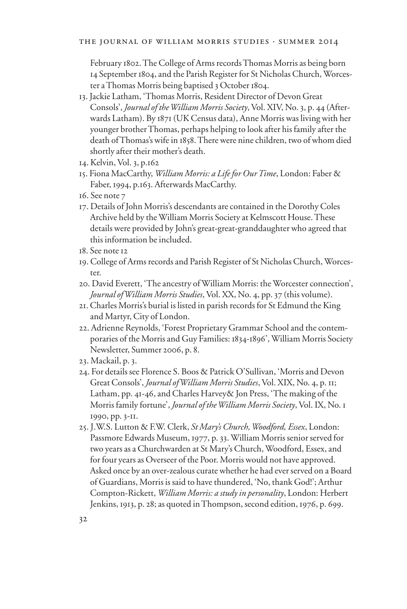February 1802. The College of Arms records Thomas Morris as being born 14 September 1804, and the Parish Register for St Nicholas Church, Worcester a Thomas Morris being baptised 3 October 1804.

- 13. Jackie Latham, 'Thomas Morris, Resident Director of Devon Great Consols', *Journal of the William Morris Society*, Vol. XIV, No. 3, p. 44 (Afterwards Latham). By 1871 (UK Census data), Anne Morris was living with her younger brother Thomas, perhaps helping to look after his family after the death of Thomas's wife in 1858. There were nine children, two of whom died shortly after their mother's death.
- 14. Kelvin, Vol. 3, p.162
- 15. Fiona MacCarthy, *William Morris: a Life for Our Time*, London: Faber & Faber, 1994, p.163. Afterwards MacCarthy.
- 16. See note 7
- 17. Details of John Morris's descendants are contained in the Dorothy Coles Archive held by the William Morris Society at Kelmscott House. These details were provided by John's great-great-granddaughter who agreed that this information be included.
- 18. See note 12
- 19. College of Arms records and Parish Register of St Nicholas Church, Worcester.
- 20. David Everett, 'The ancestry of William Morris: the Worcester connection', *Journal of William Morris Studies*, Vol. XX, No. 4, pp. 37 (this volume).
- 21. Charles Morris's burial is listed in parish records for St Edmund the King and Martyr, City of London.
- 22. Adrienne Reynolds, 'Forest Proprietary Grammar School and the contemporaries of the Morris and Guy Families: 1834-1896', William Morris Society Newsletter, Summer 2006, p. 8.
- 23. Mackail, p. 3.
- 24. For details see Florence S. Boos & Patrick O'Sullivan, 'Morris and Devon Great Consols', *Journal of William Morris Studies*, Vol. XIX, No. 4, p. 11; Latham, pp. 41-46, and Charles Harvey& Jon Press, 'The making of the Morris family fortune', *Journal of the William Morris Society*, Vol. IX, No. 1 1990, pp. 3-11.
- 25. J.W.S. Lutton & F.W. Clerk, *St Mary's Church, Woodford, Essex*, London: Passmore Edwards Museum, 1977, p. 33. William Morris senior served for two years as a Churchwarden at St Mary's Church, Woodford, Essex, and for four years as Overseer of the Poor. Morris would not have approved. Asked once by an over-zealous curate whether he had ever served on a Board of Guardians, Morris is said to have thundered, 'No, thank God!'; Arthur Compton-Rickett, *William Morris: a study in personality*, London: Herbert Jenkins, 1913, p. 28; as quoted in Thompson, second edition, 1976, p. 699.